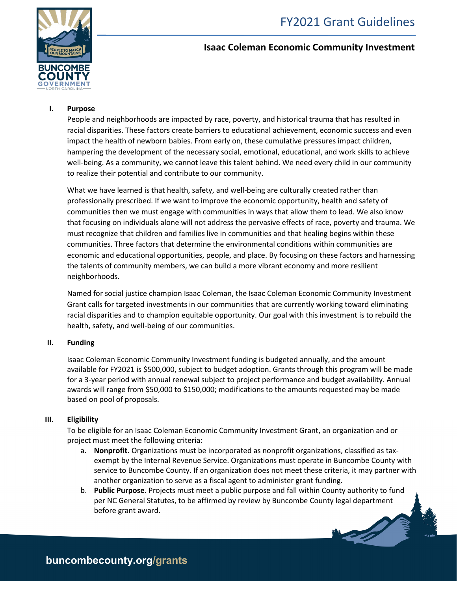

# **Isaac Coleman Economic Community Investment**

# **I. Purpose**

People and neighborhoods are impacted by race, poverty, and historical trauma that has resulted in racial disparities. These factors create barriers to educational achievement, economic success and even impact the health of newborn babies. From early on, these cumulative pressures impact children, hampering the development of the necessary social, emotional, educational, and work skills to achieve well-being. As a community, we cannot leave this talent behind. We need every child in our community to realize their potential and contribute to our community.

What we have learned is that health, safety, and well-being are culturally created rather than professionally prescribed. If we want to improve the economic opportunity, health and safety of communities then we must engage with communities in ways that allow them to lead. We also know that focusing on individuals alone will not address the pervasive effects of race, poverty and trauma. We must recognize that children and families live in communities and that healing begins within these communities. Three factors that determine the environmental conditions within communities are economic and educational opportunities, people, and place. By focusing on these factors and harnessing the talents of community members, we can build a more vibrant economy and more resilient neighborhoods.

Named for social justice champion Isaac Coleman, the Isaac Coleman Economic Community Investment Grant calls for targeted investments in our communities that are currently working toward eliminating racial disparities and to champion equitable opportunity. Our goal with this investment is to rebuild the health, safety, and well-being of our communities.

### **II. Funding**

Isaac Coleman Economic Community Investment funding is budgeted annually, and the amount available for FY2021 is \$500,000, subject to budget adoption. Grants through this program will be made for a 3-year period with annual renewal subject to project performance and budget availability. Annual awards will range from \$50,000 to \$150,000; modifications to the amounts requested may be made based on pool of proposals.

### **III. Eligibility**

To be eligible for an Isaac Coleman Economic Community Investment Grant, an organization and or project must meet the following criteria:

- a. **Nonprofit.** Organizations must be incorporated as nonprofit organizations, classified as taxexempt by the Internal Revenue Service. Organizations must operate in Buncombe County with service to Buncombe County. If an organization does not meet these criteria, it may partner with another organization to serve as a fiscal agent to administer grant funding.
- b. **Public Purpose.** Projects must meet a public purpose and fall within County authority to fund per NC General Statutes, to be affirmed by review by Buncombe County legal department before grant award.

**buncombecounty.org/grants**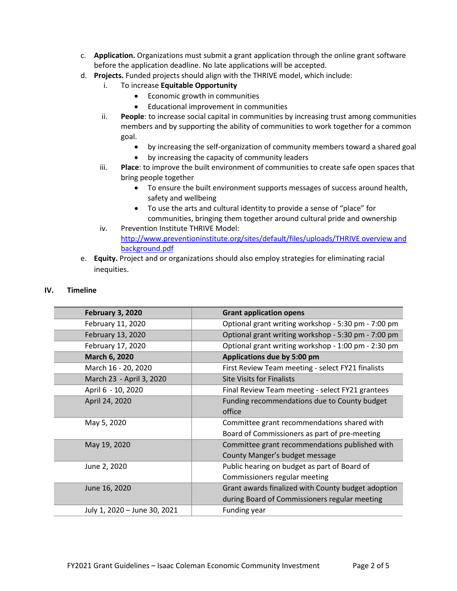- c. **Application.** Organizations must submit a grant application through the online grant software before the application deadline. No late applications will be accepted.
- d. **Projects.** Funded projects should align with the THRIVE model, which include:
	- i. To increase **Equitable Opportunity**
		- Economic growth in communities
		- Educational improvement in communities
	- ii. **People**: to increase social capital in communities by increasing trust among communities members and by supporting the ability of communities to work together for a common goal.
		- by increasing the self-organization of community members toward a shared goal
		- by increasing the capacity of community leaders
	- iii. **Place**: to improve the built environment of communities to create safe open spaces that bring people together
		- To ensure the built environment supports messages of success around health, safety and wellbeing
		- To use the arts and cultural identity to provide a sense of "place" for communities, bringing them together around cultural pride and ownership
	- iv. Prevention Institute THRIVE Model: [http://www.preventioninstitute.org/sites/default/files/uploads/THRIVE overview and](http://www.preventioninstitute.org/sites/default/files/uploads/THRIVE%20overview%20and%20background.pdf)  [background.pdf](http://www.preventioninstitute.org/sites/default/files/uploads/THRIVE%20overview%20and%20background.pdf)
- e. **Equity.** Project and or organizations should also employ strategies for eliminating racial inequities.

#### **IV. Timeline**

| <b>February 3, 2020</b>      | <b>Grant application opens</b>                      |
|------------------------------|-----------------------------------------------------|
| February 11, 2020            | Optional grant writing workshop - 5:30 pm - 7:00 pm |
| February 13, 2020            | Optional grant writing workshop - 5:30 pm - 7:00 pm |
| February 17, 2020            | Optional grant writing workshop - 1:00 pm - 2:30 pm |
| <b>March 6, 2020</b>         | Applications due by 5:00 pm                         |
| March 16 - 20, 2020          | First Review Team meeting - select FY21 finalists   |
| March 23 - April 3, 2020     | <b>Site Visits for Finalists</b>                    |
| April 6 - 10, 2020           | Final Review Team meeting - select FY21 grantees    |
| April 24, 2020               | Funding recommendations due to County budget        |
|                              | office                                              |
| May 5, 2020                  | Committee grant recommendations shared with         |
|                              | Board of Commissioners as part of pre-meeting       |
| May 19, 2020                 | Committee grant recommendations published with      |
|                              | County Manger's budget message                      |
| June 2, 2020                 | Public hearing on budget as part of Board of        |
|                              | Commissioners regular meeting                       |
| June 16, 2020                | Grant awards finalized with County budget adoption  |
|                              | during Board of Commissioners regular meeting       |
| July 1, 2020 - June 30, 2021 | Funding year                                        |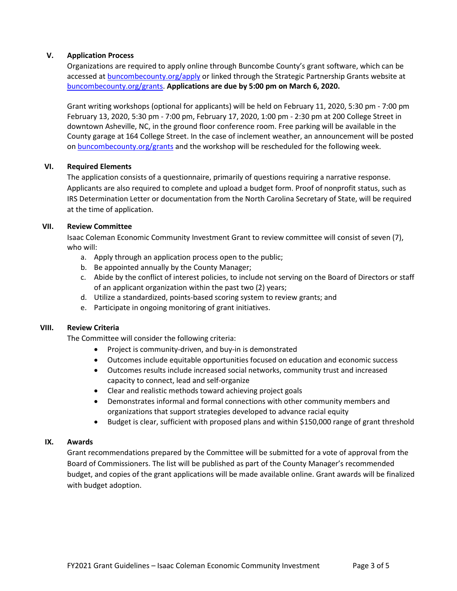### **V. Application Process**

Organizations are required to apply online through Buncombe County's grant software, which can be accessed at [buncombecounty.org/apply](http://www.buncombecounty.org/apply) or linked through the Strategic Partnership Grants website at [buncombecounty.org/grants.](http://www.buncombecounty.org/grants) **Applications are due by 5:00 pm on March 6, 2020.**

Grant writing workshops (optional for applicants) will be held on February 11, 2020, 5:30 pm - 7:00 pm February 13, 2020, 5:30 pm - 7:00 pm, February 17, 2020, 1:00 pm - 2:30 pm at 200 College Street in downtown Asheville, NC, in the ground floor conference room. Free parking will be available in the County garage at 164 College Street. In the case of inclement weather, an announcement will be posted on [buncombecounty.org/grants](http://www.buncombecounty.org/grants) and the workshop will be rescheduled for the following week.

#### **VI. Required Elements**

The application consists of a questionnaire, primarily of questions requiring a narrative response. Applicants are also required to complete and upload a budget form. Proof of nonprofit status, such as IRS Determination Letter or documentation from the North Carolina Secretary of State, will be required at the time of application.

#### **VII. Review Committee**

Isaac Coleman Economic Community Investment Grant to review committee will consist of seven (7), who will:

- a. Apply through an application process open to the public;
- b. Be appointed annually by the County Manager;
- c. Abide by the conflict of interest policies, to include not serving on the Board of Directors or staff of an applicant organization within the past two (2) years;
- d. Utilize a standardized, points-based scoring system to review grants; and
- e. Participate in ongoing monitoring of grant initiatives.

#### **VIII. Review Criteria**

The Committee will consider the following criteria:

- Project is community-driven, and buy-in is demonstrated
- Outcomes include equitable opportunities focused on education and economic success
- Outcomes results include increased social networks, community trust and increased capacity to connect, lead and self-organize
- Clear and realistic methods toward achieving project goals
- Demonstrates informal and formal connections with other community members and organizations that support strategies developed to advance racial equity
- Budget is clear, sufficient with proposed plans and within \$150,000 range of grant threshold

#### **IX. Awards**

Grant recommendations prepared by the Committee will be submitted for a vote of approval from the Board of Commissioners. The list will be published as part of the County Manager's recommended budget, and copies of the grant applications will be made available online. Grant awards will be finalized with budget adoption.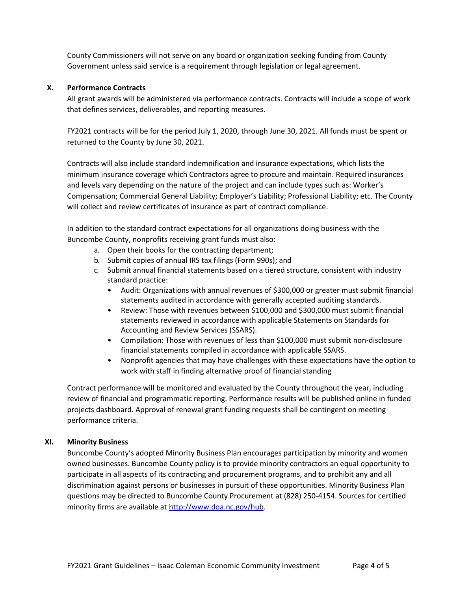County Commissioners will not serve on any board or organization seeking funding from County Government unless said service is a requirement through legislation or legal agreement.

## **X. Performance Contracts**

All grant awards will be administered via performance contracts. Contracts will include a scope of work that defines services, deliverables, and reporting measures.

FY2021 contracts will be for the period July 1, 2020, through June 30, 2021. All funds must be spent or returned to the County by June 30, 2021.

Contracts will also include standard indemnification and insurance expectations, which lists the minimum insurance coverage which Contractors agree to procure and maintain. Required insurances and levels vary depending on the nature of the project and can include types such as: Worker's Compensation; Commercial General Liability; Employer's Liability; Professional Liability; etc. The County will collect and review certificates of insurance as part of contract compliance.

In addition to the standard contract expectations for all organizations doing business with the Buncombe County, nonprofits receiving grant funds must also:

- a. Open their books for the contracting department;
- b. Submit copies of annual IRS tax filings (Form 990s); and
- c. Submit annual financial statements based on a tiered structure, consistent with industry standard practice:
	- Audit: Organizations with annual revenues of \$300,000 or greater must submit financial statements audited in accordance with generally accepted auditing standards.
	- Review: Those with revenues between \$100,000 and \$300,000 must submit financial statements reviewed in accordance with applicable Statements on Standards for Accounting and Review Services (SSARS).
	- Compilation: Those with revenues of less than \$100,000 must submit non-disclosure financial statements compiled in accordance with applicable SSARS.
	- Nonprofit agencies that may have challenges with these expectations have the option to work with staff in finding alternative proof of financial standing

Contract performance will be monitored and evaluated by the County throughout the year, including review of financial and programmatic reporting. Performance results will be published online in funded projects dashboard. Approval of renewal grant funding requests shall be contingent on meeting performance criteria.

# **XI. Minority Business**

Buncombe County's adopted Minority Business Plan encourages participation by minority and women owned businesses. Buncombe County policy is to provide minority contractors an equal opportunity to participate in all aspects of its contracting and procurement programs, and to prohibit any and all discrimination against persons or businesses in pursuit of these opportunities. Minority Business Plan questions may be directed to Buncombe County Procurement at (828) 250-4154. Sources for certified minority firms are available at [http://www.doa.nc.gov/hub.](http://www.doa.nc.gov/hub)